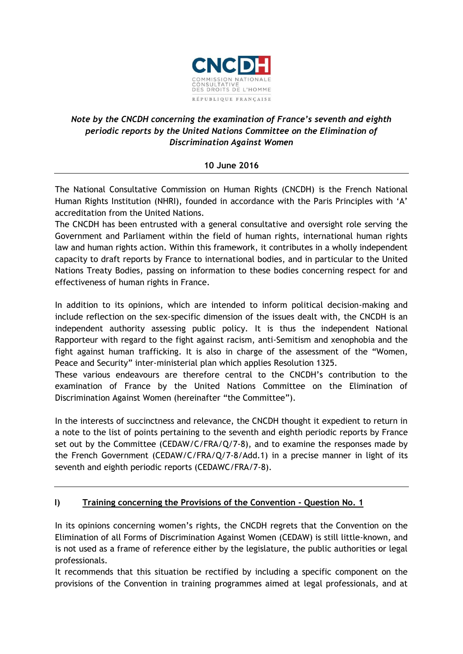

# *Note by the CNCDH concerning the examination of France's seventh and eighth periodic reports by the United Nations Committee on the Elimination of Discrimination Against Women*

#### **10 June 2016**

The National Consultative Commission on Human Rights (CNCDH) is the French National Human Rights Institution (NHRI), founded in accordance with the Paris Principles with 'A' accreditation from the United Nations.

The CNCDH has been entrusted with a general consultative and oversight role serving the Government and Parliament within the field of human rights, international human rights law and human rights action. Within this framework, it contributes in a wholly independent capacity to draft reports by France to international bodies, and in particular to the United Nations Treaty Bodies, passing on information to these bodies concerning respect for and effectiveness of human rights in France.

In addition to its opinions, which are intended to inform political decision-making and include reflection on the sex-specific dimension of the issues dealt with, the CNCDH is an independent authority assessing public policy. It is thus the independent National Rapporteur with regard to the fight against racism, anti-Semitism and xenophobia and the fight against human trafficking. It is also in charge of the assessment of the "Women, Peace and Security" inter-ministerial plan which applies Resolution 1325.

These various endeavours are therefore central to the CNCDH's contribution to the examination of France by the United Nations Committee on the Elimination of Discrimination Against Women (hereinafter "the Committee").

In the interests of succinctness and relevance, the CNCDH thought it expedient to return in a note to the list of points pertaining to the seventh and eighth periodic reports by France set out by the Committee (CEDAW/C/FRA/Q/7-8), and to examine the responses made by the French Government (CEDAW/C/FRA/Q/7-8/Add.1) in a precise manner in light of its seventh and eighth periodic reports (CEDAWC/FRA/7-8).

## **I) Training concerning the Provisions of the Convention - Question No. 1**

In its opinions concerning women's rights, the CNCDH regrets that the Convention on the Elimination of all Forms of Discrimination Against Women (CEDAW) is still little-known, and is not used as a frame of reference either by the legislature, the public authorities or legal professionals.

It recommends that this situation be rectified by including a specific component on the provisions of the Convention in training programmes aimed at legal professionals, and at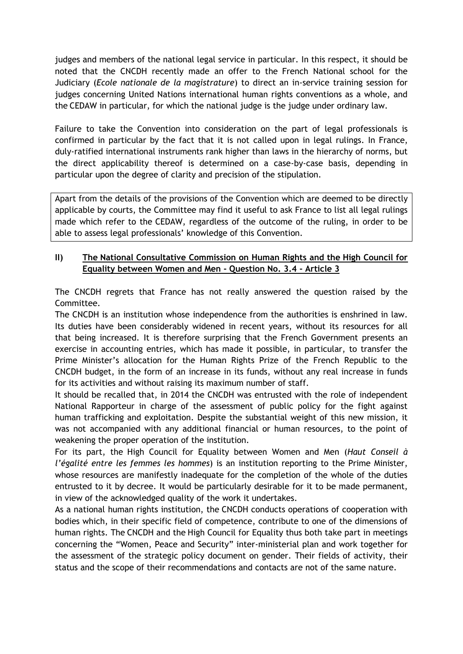judges and members of the national legal service in particular. In this respect, it should be noted that the CNCDH recently made an offer to the French National school for the Judiciary (*Ecole nationale de la magistrature*) to direct an in-service training session for judges concerning United Nations international human rights conventions as a whole, and the CEDAW in particular, for which the national judge is the judge under ordinary law.

Failure to take the Convention into consideration on the part of legal professionals is confirmed in particular by the fact that it is not called upon in legal rulings. In France, duly-ratified international instruments rank higher than laws in the hierarchy of norms, but the direct applicability thereof is determined on a case-by-case basis, depending in particular upon the degree of clarity and precision of the stipulation.

Apart from the details of the provisions of the Convention which are deemed to be directly applicable by courts, the Committee may find it useful to ask France to list all legal rulings made which refer to the CEDAW, regardless of the outcome of the ruling, in order to be able to assess legal professionals' knowledge of this Convention.

#### **II) The National Consultative Commission on Human Rights and the High Council for Equality between Women and Men - Question No. 3.4 - Article 3**

The CNCDH regrets that France has not really answered the question raised by the Committee.

The CNCDH is an institution whose independence from the authorities is enshrined in law. Its duties have been considerably widened in recent years, without its resources for all that being increased. It is therefore surprising that the French Government presents an exercise in accounting entries, which has made it possible, in particular, to transfer the Prime Minister's allocation for the Human Rights Prize of the French Republic to the CNCDH budget, in the form of an increase in its funds, without any real increase in funds for its activities and without raising its maximum number of staff.

It should be recalled that, in 2014 the CNCDH was entrusted with the role of independent National Rapporteur in charge of the assessment of public policy for the fight against human trafficking and exploitation. Despite the substantial weight of this new mission, it was not accompanied with any additional financial or human resources, to the point of weakening the proper operation of the institution.

For its part, the High Council for Equality between Women and Men (*Haut Conseil à l'égalité entre les femmes les hommes*) is an institution reporting to the Prime Minister, whose resources are manifestly inadequate for the completion of the whole of the duties entrusted to it by decree. It would be particularly desirable for it to be made permanent, in view of the acknowledged quality of the work it undertakes.

As a national human rights institution, the CNCDH conducts operations of cooperation with bodies which, in their specific field of competence, contribute to one of the dimensions of human rights. The CNCDH and the High Council for Equality thus both take part in meetings concerning the "Women, Peace and Security" inter-ministerial plan and work together for the assessment of the strategic policy document on gender. Their fields of activity, their status and the scope of their recommendations and contacts are not of the same nature.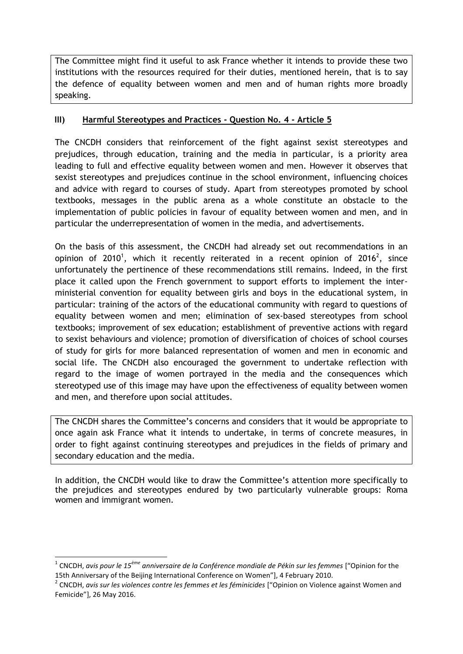The Committee might find it useful to ask France whether it intends to provide these two institutions with the resources required for their duties, mentioned herein, that is to say the defence of equality between women and men and of human rights more broadly speaking.

#### **III) Harmful Stereotypes and Practices - Question No. 4 - Article 5**

The CNCDH considers that reinforcement of the fight against sexist stereotypes and prejudices, through education, training and the media in particular, is a priority area leading to full and effective equality between women and men. However it observes that sexist stereotypes and prejudices continue in the school environment, influencing choices and advice with regard to courses of study. Apart from stereotypes promoted by school textbooks, messages in the public arena as a whole constitute an obstacle to the implementation of public policies in favour of equality between women and men, and in particular the underrepresentation of women in the media, and advertisements.

On the basis of this assessment, the CNCDH had already set out recommendations in an opinion of 2010<sup>1</sup>, which it recently reiterated in a recent opinion of 2016<sup>2</sup>, since unfortunately the pertinence of these recommendations still remains. Indeed, in the first place it called upon the French government to support efforts to implement the interministerial convention for equality between girls and boys in the educational system, in particular: training of the actors of the educational community with regard to questions of equality between women and men; elimination of sex-based stereotypes from school textbooks; improvement of sex education; establishment of preventive actions with regard to sexist behaviours and violence; promotion of diversification of choices of school courses of study for girls for more balanced representation of women and men in economic and social life. The CNCDH also encouraged the government to undertake reflection with regard to the image of women portrayed in the media and the consequences which stereotyped use of this image may have upon the effectiveness of equality between women and men, and therefore upon social attitudes.

The CNCDH shares the Committee's concerns and considers that it would be appropriate to once again ask France what it intends to undertake, in terms of concrete measures, in order to fight against continuing stereotypes and prejudices in the fields of primary and secondary education and the media.

In addition, the CNCDH would like to draw the Committee's attention more specifically to the prejudices and stereotypes endured by two particularly vulnerable groups: Roma women and immigrant women.

1

<sup>1</sup> CNCDH, *avis pour le 15ème anniversaire de la Conférence mondiale de Pékin sur les femmes* ["Opinion for the 15th Anniversary of the Beijing International Conference on Women"], 4 February 2010.

<sup>2</sup> CNCDH, *avis sur les violences contre les femmes et les féminicides* ["Opinion on Violence against Women and Femicide"], 26 May 2016.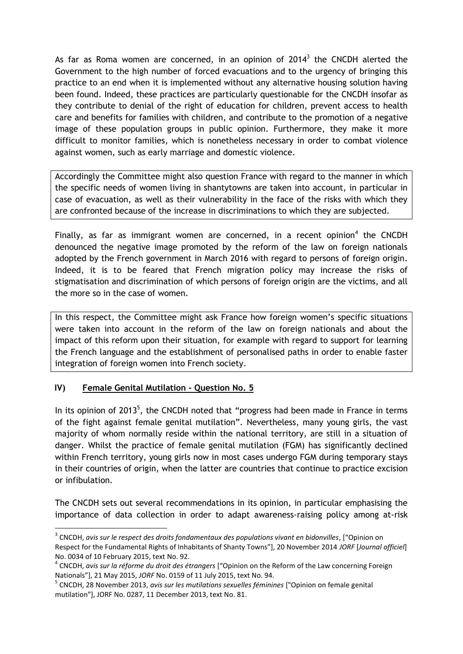As far as Roma women are concerned, in an opinion of 2014<sup>3</sup> the CNCDH alerted the Government to the high number of forced evacuations and to the urgency of bringing this practice to an end when it is implemented without any alternative housing solution having been found. Indeed, these practices are particularly questionable for the CNCDH insofar as they contribute to denial of the right of education for children, prevent access to health care and benefits for families with children, and contribute to the promotion of a negative image of these population groups in public opinion. Furthermore, they make it more difficult to monitor families, which is nonetheless necessary in order to combat violence against women, such as early marriage and domestic violence.

Accordingly the Committee might also question France with regard to the manner in which the specific needs of women living in shantytowns are taken into account, in particular in case of evacuation, as well as their vulnerability in the face of the risks with which they are confronted because of the increase in discriminations to which they are subjected.

Finally, as far as immigrant women are concerned, in a recent opinion<sup>4</sup> the CNCDH denounced the negative image promoted by the reform of the law on foreign nationals adopted by the French government in March 2016 with regard to persons of foreign origin. Indeed, it is to be feared that French migration policy may increase the risks of stigmatisation and discrimination of which persons of foreign origin are the victims, and all the more so in the case of women.

In this respect, the Committee might ask France how foreign women's specific situations were taken into account in the reform of the law on foreign nationals and about the impact of this reform upon their situation, for example with regard to support for learning the French language and the establishment of personalised paths in order to enable faster integration of foreign women into French society.

## **IV) Female Genital Mutilation - Question No. 5**

1

In its opinion of 2013<sup>5</sup>, the CNCDH noted that "progress had been made in France in terms of the fight against female genital mutilation". Nevertheless, many young girls, the vast majority of whom normally reside within the national territory, are still in a situation of danger. Whilst the practice of female genital mutilation (FGM) has significantly declined within French territory, young girls now in most cases undergo FGM during temporary stays in their countries of origin, when the latter are countries that continue to practice excision or infibulation.

The CNCDH sets out several recommendations in its opinion, in particular emphasising the importance of data collection in order to adapt awareness-raising policy among at-risk

<sup>3</sup> CNCDH, *avis sur le respect des droits fondamentaux des populations vivant en bidonvilles*, ["Opinion on Respect for the Fundamental Rights of Inhabitants of Shanty Towns"], 20 November 2014 *JORF* [*Journal officiel*] No. 0034 of 10 February 2015, text No. 92.

<sup>4</sup> CNCDH, *avis sur la réforme du droit des étrangers* ["Opinion on the Reform of the Law concerning Foreign Nationals"], 21 May 2015, *JORF* No. 0159 of 11 July 2015, text No. 94.

<sup>5</sup> CNCDH, 28 November 2013, *avis sur les mutilations sexuelles féminines* ["Opinion on female genital mutilation"], JORF No. 0287, 11 December 2013, text No. 81.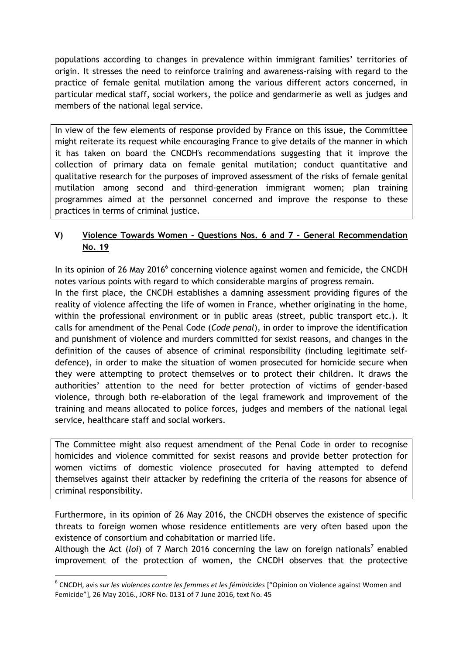populations according to changes in prevalence within immigrant families' territories of origin. It stresses the need to reinforce training and awareness-raising with regard to the practice of female genital mutilation among the various different actors concerned, in particular medical staff, social workers, the police and gendarmerie as well as judges and members of the national legal service.

In view of the few elements of response provided by France on this issue, the Committee might reiterate its request while encouraging France to give details of the manner in which it has taken on board the CNCDH's recommendations suggesting that it improve the collection of primary data on female genital mutilation; conduct quantitative and qualitative research for the purposes of improved assessment of the risks of female genital mutilation among second and third-generation immigrant women; plan training programmes aimed at the personnel concerned and improve the response to these practices in terms of criminal justice.

## **V) Violence Towards Women - Questions Nos. 6 and 7 - General Recommendation No. 19**

In its opinion of 26 May 2016 $^6$  concerning violence against women and femicide, the CNCDH notes various points with regard to which considerable margins of progress remain.

In the first place, the CNCDH establishes a damning assessment providing figures of the reality of violence affecting the life of women in France, whether originating in the home, within the professional environment or in public areas (street, public transport etc.). It calls for amendment of the Penal Code (*Code penal*), in order to improve the identification and punishment of violence and murders committed for sexist reasons, and changes in the definition of the causes of absence of criminal responsibility (including legitimate selfdefence), in order to make the situation of women prosecuted for homicide secure when they were attempting to protect themselves or to protect their children. It draws the authorities' attention to the need for better protection of victims of gender-based violence, through both re-elaboration of the legal framework and improvement of the training and means allocated to police forces, judges and members of the national legal service, healthcare staff and social workers.

The Committee might also request amendment of the Penal Code in order to recognise homicides and violence committed for sexist reasons and provide better protection for women victims of domestic violence prosecuted for having attempted to defend themselves against their attacker by redefining the criteria of the reasons for absence of criminal responsibility.

Furthermore, in its opinion of 26 May 2016, the CNCDH observes the existence of specific threats to foreign women whose residence entitlements are very often based upon the existence of consortium and cohabitation or married life.

Although the Act (loi) of 7 March 2016 concerning the law on foreign nationals<sup>7</sup> enabled improvement of the protection of women, the CNCDH observes that the protective

1

<sup>6</sup> CNCDH, avis *sur les violences contre les femmes et les féminicides* ["Opinion on Violence against Women and Femicide"], 26 May 2016., JORF No. 0131 of 7 June 2016, text No. 45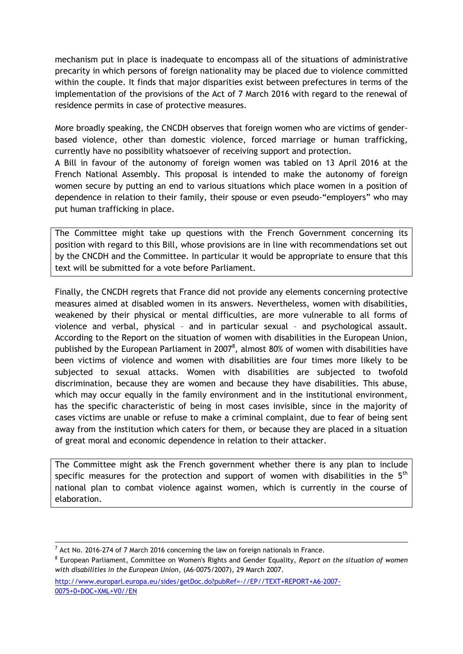mechanism put in place is inadequate to encompass all of the situations of administrative precarity in which persons of foreign nationality may be placed due to violence committed within the couple. It finds that major disparities exist between prefectures in terms of the implementation of the provisions of the Act of 7 March 2016 with regard to the renewal of residence permits in case of protective measures.

More broadly speaking, the CNCDH observes that foreign women who are victims of genderbased violence, other than domestic violence, forced marriage or human trafficking, currently have no possibility whatsoever of receiving support and protection.

A Bill in favour of the autonomy of foreign women was tabled on 13 April 2016 at the French National Assembly. This proposal is intended to make the autonomy of foreign women secure by putting an end to various situations which place women in a position of dependence in relation to their family, their spouse or even pseudo-"employers" who may put human trafficking in place.

The Committee might take up questions with the French Government concerning its position with regard to this Bill, whose provisions are in line with recommendations set out by the CNCDH and the Committee. In particular it would be appropriate to ensure that this text will be submitted for a vote before Parliament.

Finally, the CNCDH regrets that France did not provide any elements concerning protective measures aimed at disabled women in its answers. Nevertheless, women with disabilities, weakened by their physical or mental difficulties, are more vulnerable to all forms of violence and verbal, physical – and in particular sexual – and psychological assault. According to the Report on the situation of women with disabilities in the European Union, published by the European Parliament in 2007<sup>8</sup>, almost 80% of women with disabilities have been victims of violence and women with disabilities are four times more likely to be subjected to sexual attacks. Women with disabilities are subjected to twofold discrimination, because they are women and because they have disabilities. This abuse, which may occur equally in the family environment and in the institutional environment, has the specific characteristic of being in most cases invisible, since in the majority of cases victims are unable or refuse to make a criminal complaint, due to fear of being sent away from the institution which caters for them, or because they are placed in a situation of great moral and economic dependence in relation to their attacker.

The Committee might ask the French government whether there is any plan to include specific measures for the protection and support of women with disabilities in the  $5<sup>th</sup>$ national plan to combat violence against women, which is currently in the course of elaboration.

1

[http://www.europarl.europa.eu/sides/getDoc.do?pubRef=-//EP//TEXT+REPORT+A6-2007-](http://www.europarl.europa.eu/sides/getDoc.do?pubRef=-//EP//TEXT+REPORT+A6-2007-0075+0+DOC+XML+V0//EN) [0075+0+DOC+XML+V0//EN](http://www.europarl.europa.eu/sides/getDoc.do?pubRef=-//EP//TEXT+REPORT+A6-2007-0075+0+DOC+XML+V0//EN)

 $^7$  Act No. 2016-274 of 7 March 2016 concerning the law on foreign nationals in France.

<sup>8</sup> European Parliament, Committee on Women's Rights and Gender Equality, *Report on the situation of women with disabilities in the European Union*, (A6-0075/2007), 29 March 2007.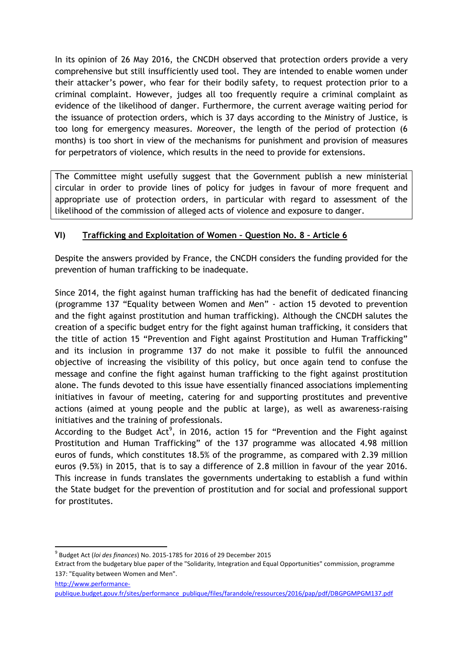In its opinion of 26 May 2016, the CNCDH observed that protection orders provide a very comprehensive but still insufficiently used tool. They are intended to enable women under their attacker's power, who fear for their bodily safety, to request protection prior to a criminal complaint. However, judges all too frequently require a criminal complaint as evidence of the likelihood of danger. Furthermore, the current average waiting period for the issuance of protection orders, which is 37 days according to the Ministry of Justice, is too long for emergency measures. Moreover, the length of the period of protection (6 months) is too short in view of the mechanisms for punishment and provision of measures for perpetrators of violence, which results in the need to provide for extensions.

The Committee might usefully suggest that the Government publish a new ministerial circular in order to provide lines of policy for judges in favour of more frequent and appropriate use of protection orders, in particular with regard to assessment of the likelihood of the commission of alleged acts of violence and exposure to danger.

## **VI) Trafficking and Exploitation of Women – Question No. 8 – Article 6**

Despite the answers provided by France, the CNCDH considers the funding provided for the prevention of human trafficking to be inadequate.

Since 2014, the fight against human trafficking has had the benefit of dedicated financing (programme 137 "Equality between Women and Men" - action 15 devoted to prevention and the fight against prostitution and human trafficking). Although the CNCDH salutes the creation of a specific budget entry for the fight against human trafficking, it considers that the title of action 15 "Prevention and Fight against Prostitution and Human Trafficking" and its inclusion in programme 137 do not make it possible to fulfil the announced objective of increasing the visibility of this policy, but once again tend to confuse the message and confine the fight against human trafficking to the fight against prostitution alone. The funds devoted to this issue have essentially financed associations implementing initiatives in favour of meeting, catering for and supporting prostitutes and preventive actions (aimed at young people and the public at large), as well as awareness-raising initiatives and the training of professionals.

According to the Budget Act<sup>9</sup>, in 2016, action 15 for "Prevention and the Fight against Prostitution and Human Trafficking" of the 137 programme was allocated 4.98 million euros of funds, which constitutes 18.5% of the programme, as compared with 2.39 million euros (9.5%) in 2015, that is to say a difference of 2.8 million in favour of the year 2016. This increase in funds translates the governments undertaking to establish a fund within the State budget for the prevention of prostitution and for social and professional support for prostitutes.

[http://www.performance-](http://www.performance-publique.budget.gouv.fr/sites/performance_publique/files/farandole/ressources/2016/pap/pdf/DBGPGMPGM137.pdf)

<sup>1</sup> 9 Budget Act (*loi des finances*) No. 2015-1785 for 2016 of 29 December 2015

Extract from the budgetary blue paper of the "Solidarity, Integration and Equal Opportunities" commission, programme 137: "Equality between Women and Men".

[publique.budget.gouv.fr/sites/performance\\_publique/files/farandole/ressources/2016/pap/pdf/DBGPGMPGM137.pdf](http://www.performance-publique.budget.gouv.fr/sites/performance_publique/files/farandole/ressources/2016/pap/pdf/DBGPGMPGM137.pdf)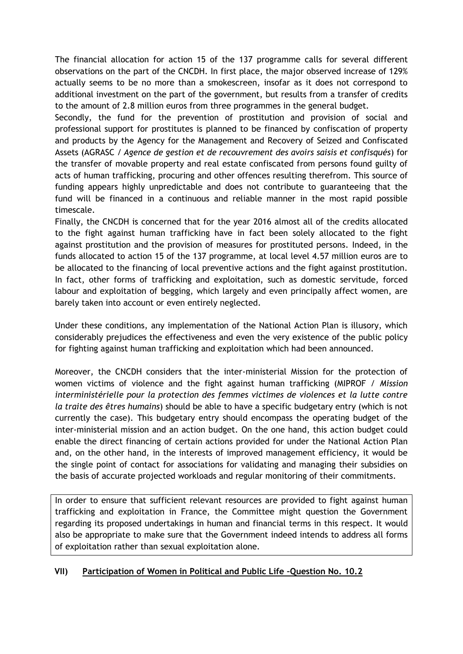The financial allocation for action 15 of the 137 programme calls for several different observations on the part of the CNCDH. In first place, the major observed increase of 129% actually seems to be no more than a smokescreen, insofar as it does not correspond to additional investment on the part of the government, but results from a transfer of credits to the amount of 2.8 million euros from three programmes in the general budget.

Secondly, the fund for the prevention of prostitution and provision of social and professional support for prostitutes is planned to be financed by confiscation of property and products by the Agency for the Management and Recovery of Seized and Confiscated Assets (AGRASC / *Agence de gestion et de recouvrement des avoirs saisis et confisqués*) for the transfer of movable property and real estate confiscated from persons found guilty of acts of human trafficking, procuring and other offences resulting therefrom. This source of funding appears highly unpredictable and does not contribute to guaranteeing that the fund will be financed in a continuous and reliable manner in the most rapid possible timescale.

Finally, the CNCDH is concerned that for the year 2016 almost all of the credits allocated to the fight against human trafficking have in fact been solely allocated to the fight against prostitution and the provision of measures for prostituted persons. Indeed, in the funds allocated to action 15 of the 137 programme, at local level 4.57 million euros are to be allocated to the financing of local preventive actions and the fight against prostitution. In fact, other forms of trafficking and exploitation, such as domestic servitude, forced labour and exploitation of begging, which largely and even principally affect women, are barely taken into account or even entirely neglected.

Under these conditions, any implementation of the National Action Plan is illusory, which considerably prejudices the effectiveness and even the very existence of the public policy for fighting against human trafficking and exploitation which had been announced.

Moreover, the CNCDH considers that the inter-ministerial Mission for the protection of women victims of violence and the fight against human trafficking (MIPROF / *Mission interministérielle pour la protection des femmes victimes de violences et la lutte contre la traite des êtres humains*) should be able to have a specific budgetary entry (which is not currently the case). This budgetary entry should encompass the operating budget of the inter-ministerial mission and an action budget. On the one hand, this action budget could enable the direct financing of certain actions provided for under the National Action Plan and, on the other hand, in the interests of improved management efficiency, it would be the single point of contact for associations for validating and managing their subsidies on the basis of accurate projected workloads and regular monitoring of their commitments.

In order to ensure that sufficient relevant resources are provided to fight against human trafficking and exploitation in France, the Committee might question the Government regarding its proposed undertakings in human and financial terms in this respect. It would also be appropriate to make sure that the Government indeed intends to address all forms of exploitation rather than sexual exploitation alone.

#### **VII) Participation of Women in Political and Public Life –Question No. 10.2**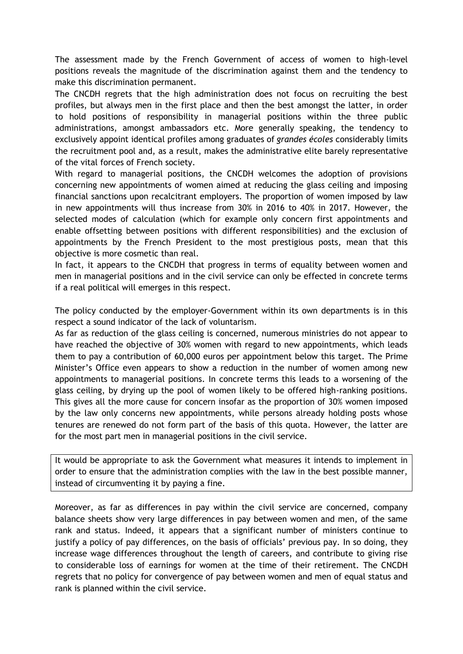The assessment made by the French Government of access of women to high-level positions reveals the magnitude of the discrimination against them and the tendency to make this discrimination permanent.

The CNCDH regrets that the high administration does not focus on recruiting the best profiles, but always men in the first place and then the best amongst the latter, in order to hold positions of responsibility in managerial positions within the three public administrations, amongst ambassadors etc. More generally speaking, the tendency to exclusively appoint identical profiles among graduates of *grandes écoles* considerably limits the recruitment pool and, as a result, makes the administrative elite barely representative of the vital forces of French society.

With regard to managerial positions, the CNCDH welcomes the adoption of provisions concerning new appointments of women aimed at reducing the glass ceiling and imposing financial sanctions upon recalcitrant employers. The proportion of women imposed by law in new appointments will thus increase from 30% in 2016 to 40% in 2017. However, the selected modes of calculation (which for example only concern first appointments and enable offsetting between positions with different responsibilities) and the exclusion of appointments by the French President to the most prestigious posts, mean that this objective is more cosmetic than real.

In fact, it appears to the CNCDH that progress in terms of equality between women and men in managerial positions and in the civil service can only be effected in concrete terms if a real political will emerges in this respect.

The policy conducted by the employer-Government within its own departments is in this respect a sound indicator of the lack of voluntarism.

As far as reduction of the glass ceiling is concerned, numerous ministries do not appear to have reached the objective of 30% women with regard to new appointments, which leads them to pay a contribution of 60,000 euros per appointment below this target. The Prime Minister's Office even appears to show a reduction in the number of women among new appointments to managerial positions. In concrete terms this leads to a worsening of the glass ceiling, by drying up the pool of women likely to be offered high-ranking positions. This gives all the more cause for concern insofar as the proportion of 30% women imposed by the law only concerns new appointments, while persons already holding posts whose tenures are renewed do not form part of the basis of this quota. However, the latter are for the most part men in managerial positions in the civil service.

It would be appropriate to ask the Government what measures it intends to implement in order to ensure that the administration complies with the law in the best possible manner, instead of circumventing it by paying a fine.

Moreover, as far as differences in pay within the civil service are concerned, company balance sheets show very large differences in pay between women and men, of the same rank and status. Indeed, it appears that a significant number of ministers continue to justify a policy of pay differences, on the basis of officials' previous pay. In so doing, they increase wage differences throughout the length of careers, and contribute to giving rise to considerable loss of earnings for women at the time of their retirement. The CNCDH regrets that no policy for convergence of pay between women and men of equal status and rank is planned within the civil service.